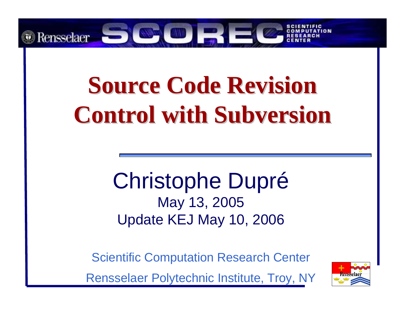

# **Source Code Revision Control with Subversion Control with Subversion**

#### Christophe Dupré May 13, 2005 Update KEJ May 10, 2006

Scientific Computation Research Center

Rensselaer Polytechnic Institute, Troy, NY

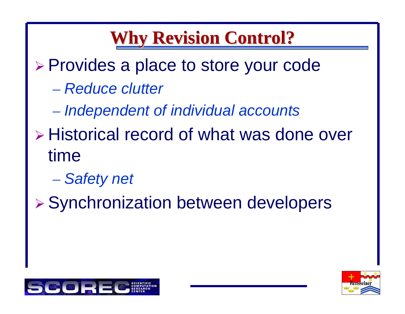### **Why Revision Control? Why Revision Control?**

- ¾ Provides a place to store your code
	- *Reduce clutter*
	- *Independent of individual accounts*
- ¾ Historical record of what was done over time
	- *Safety net*
- ¾ Synchronization between developers



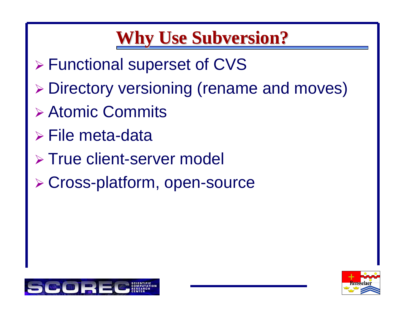### **Why Use Subversion? Why Use Subversion?**

- ¾ Functional superset of CVS
- ¾ Directory versioning (rename and moves)
- ¾ Atomic Commits
- ¾ File meta-data
- ¾ True client-server model
- ¾ Cross-platform, open-source



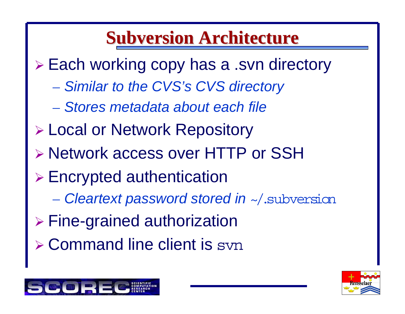#### **Subversion Architecture Subversion Architecture**

¾ Each working copy has a .svn directory

- *Similar to the CVS's CVS directory*
- *Stores metadata about each file*
- ¾ Local or Network Repository
- ¾ Network access over HTTP or SSH
- ¾ Encrypted authentication
	- *Cleartext password stored in* ~/.subversion
- ¾ Fine-grained authorization
- ¾ Command line client is svn



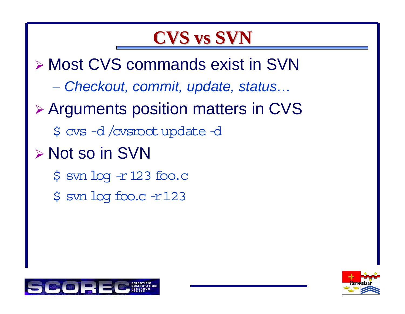#### **CVS vs SVN CVS vs SVN**

¾ Most CVS commands exist in SVN

*Checkout, commit, update, status…*

- ¾ Arguments position matters in CVS
	- \$ cvs -d /cvsrootupdate -d
- ¾ Not so in SVN
	- \$ svn log -r 123 foo.c
	- \$ svn log foo.c -r123



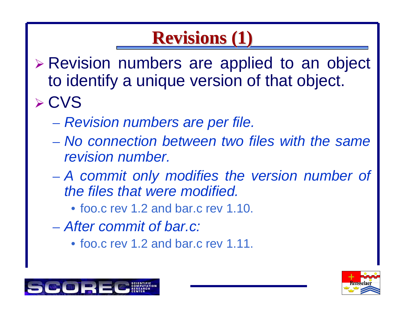## **Revisions (1) Revisions (1)**

- ¾ Revision numbers are applied to an object to identify a unique version of that object. ¾ CVS
	- *Revision numbers are per file.*
	- *No connection between two files with the same revision number.*
	- *A commit only modifies the version number of the files that were modified.*
		- foo.c rev 1.2 and bar.c rev 1.10.
	- *After commit of bar.c:*
		- foo.c rev 1.2 and bar.c rev 1.11.



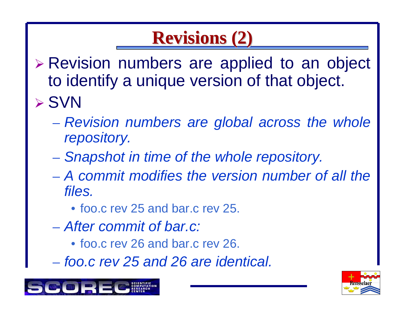## **Revisions (2) Revisions (2)**

- ¾ Revision numbers are applied to an object to identify a unique version of that object. ¾ SVN
	- *Revision numbers are global across the whole repository.*
	- *Snapshot in time of the whole repository.*
	- *A commit modifies the version number of all the files.*
		- foo.c rev 25 and bar.c rev 25.
	- *After commit of bar.c:*
		- foo.c rev 26 and bar.c rev 26.
	- *foo.c rev 25 and 26 are identical.*



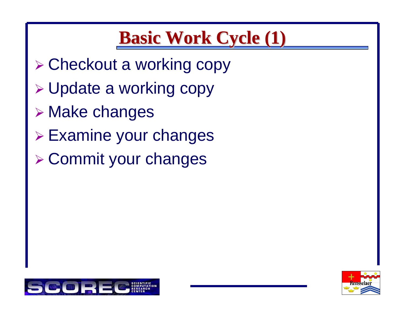### **Basic Work Cycle (1) Basic Work Cycle (1)**

- ¾ Checkout a working copy
- ¾ Update a working copy
- ¾ Make changes
- ¾ Examine your changes
- ¾ Commit your changes



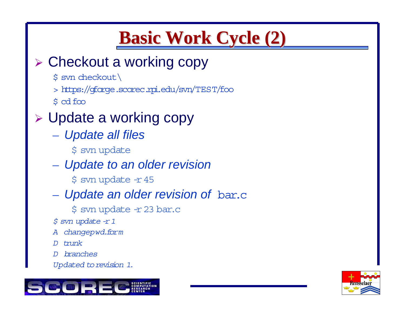## **Basic Work Cycle (2) Basic Work Cycle (2)**

#### ¾ Checkout a working copy

- \$ svn checkout \
- > https://gforge.scorec.rpi.edu/svn/TEST/foo
- \$ cd foo

#### ¾ Update a working copy

- *Update all files*
	- \$ svn update
- *Update to an older revision*
	- \$ svn update -r 45
- *Update an older revision of* bar.c
	- \$ svn update -r 23 bar.c
- *\$ svn update -r 1*
- *A changepwd.form*
- *D trunk*
- *D branches*
- Updated to revision 1.



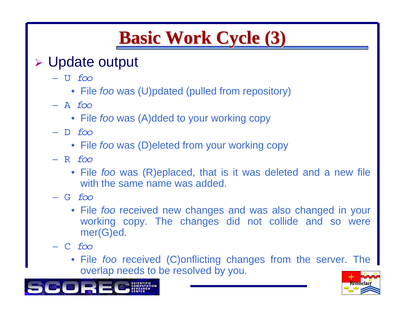## **Basic Work Cycle (3) Basic Work Cycle (3)**

#### ¾Update output

- U *foo*
	- File *foo* was (U)pdated (pulled from repository)
- A *foo*
	- File *foo* was (A)dded to your working copy
- D *foo*
	- File *foo* was (D)eleted from your working copy
- R *foo*
	- File *foo* was (R)eplaced, that is it was deleted and a new file with the same name was added.
- G *foo*
	- File *foo* received new changes and was also changed in your working copy. The changes did not collide and so were mer(G)ed.
- –C *foo*
	- File *foo* received (C)onflicting changes from the server. The overlap needs to be resolved by you.



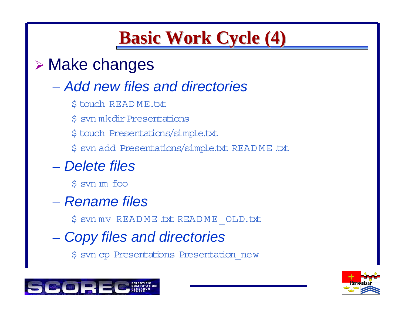### **Basic Work Cycle (4) Basic Work Cycle (4)**

#### ¾ Make changes

#### – *Add new files and directories*

- \$ touch READ ME.txt
- \$ svn mkdirPresentations
- \$ touch Presentations/simple.txt
- \$ svn add Presentations/simple. txt READ ME.txt

#### – *Delete files*

\$ svn rm foo

- *Rename files*
	- \$ svn mv READ ME.txt READ ME\_OLD.txt
- *Copy files and directories*
	- \$ svn cp Presentations Presentation\_new



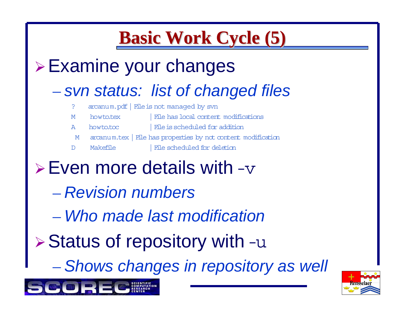### **Basic Work Cycle (5) Basic Work Cycle (5)**

#### <sup>¾</sup>Examine your changes

#### *svn status: list of changed files*

- ? arcanum.pdf| Fileis not managed by svn
- M howto.tex | File has local content modifications
- A howto.toc | File is scheduled for addition
- M arcanum.tex | File has properties by not content modification
- D Makefile | File scheduled for deletion
- $\triangleright$  Even more details with -v
	- *Revision numbers*
	- *Who made last modification*
- $\triangleright$  Status of repository with  $-u$ 
	- *Shows changes in repository as well*



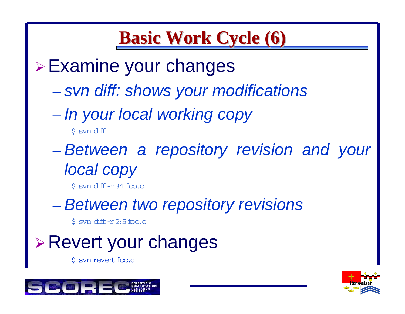#### **Basic Work Cycle (6) Basic Work Cycle (6)**

<sup>¾</sup>Examine your changes

- *svn diff: shows your modifications*
- *In your local working copy*

\$ svn diff

 *Between a repository revision and your local copy*

\$ svn diff -r 34 foo.c

*Between two repository revisions*

\$ svn diff -r 2:5 foo.c

<sup>¾</sup>Revert your changes

\$ syn revert foo.c



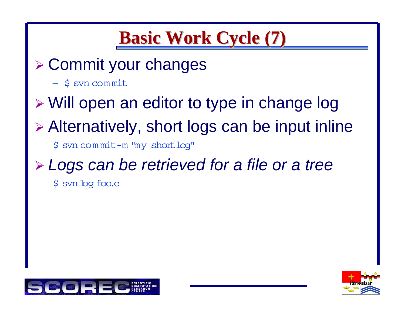#### **Basic Work Cycle (7) Basic Work Cycle (7)**

- ¾ Commit your changes
	- \$ svn com mit
- ¾ Will open an editor to type in change log
- ¾ Alternatively, short logs can be input inline
	- \$ svn com mit-m "my shortlog"

# ¾ *Logs can be retrieved for a file or a tree*

\$ svnlog foo.c



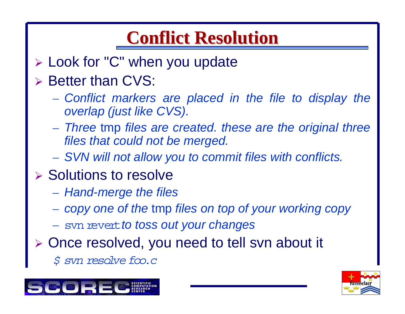### **Conflict Resolution Conflict Resolution**

- ¾ Look for "C" when you update
- ¾ Better than CVS:
	- *Conflict markers are placed in the file to display the overlap (just like CVS).*
	- *Three* tmp *files are created. these are the original three files that could not be merged.*
	- *SVN will not allow you to commit files with conflicts.*
- **▶ Solutions to resolve** 
	- *Hand-merge the files*
	- *copy one of the* tmp *files on top of your working copy*
	- svn revert*to toss out your changes*
- ¾ Once resolved, you need to tell svn about it
	- *\$ svn resolve foo.c*



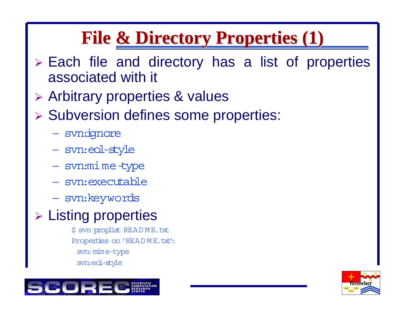### **File & Directory Properties (1) File & Directory Properties (1)**

- ¾ Each file and directory has a list of properties associated with it
- ¾ Arbitrary properties & values
- ¾ Subversion defines some properties:
	- svn: ignore
	- svn:eol-style
	- svn:mime-type
	- svn:executable
	- svn:keywords

#### ¾ Listing properties

\$ svn proplist READ ME.txt Properties on 'README.txt': svn: mime-type svn:eol-style



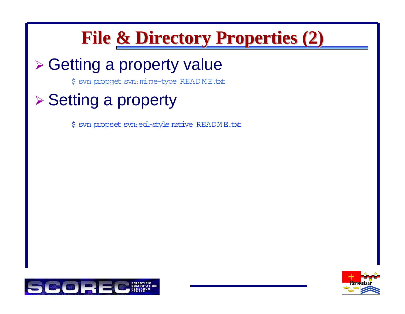## **File & Directory Properties (2) File & Directory Properties (2)**

#### ¾ Getting a property value

\$ svn propget svn: mime-type READ ME.txt

#### ¾ Setting a property

\$ svn propset svn: eol-style native README.txt



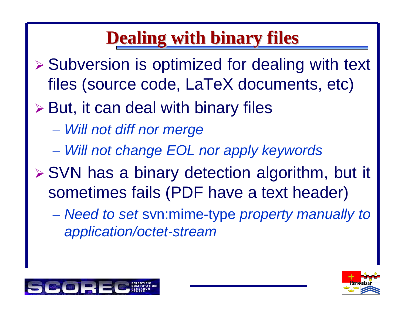### **Dealing with binary files Dealing with binary files**

- ¾ Subversion is optimized for dealing with text files (source code, LaTeX documents, etc)
- $\triangleright$  But, it can deal with binary files
	- *Will not diff nor merge*
	- *Will not change EOL nor apply keywords*
- ¾ SVN has a binary detection algorithm, but it sometimes fails (PDF have a text header)
	- *Need to set* svn:mime-type *property manually to application/octet-stream*



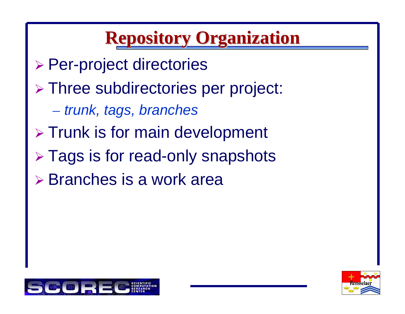## **Repository Organization Repository Organization**

- ¾ Per-project directories
- ¾ Three subdirectories per project:
	- *trunk, tags, branches*
- ¾ Trunk is for main development
- ¾ Tags is for read-only snapshots
- ¾ Branches is a work area



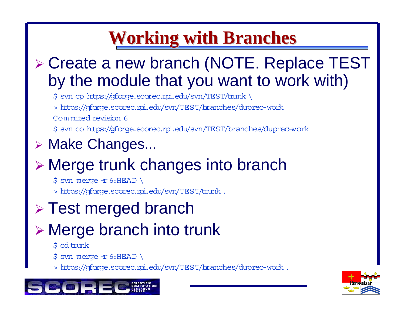### **Working with Branches Working with Branches**

#### ¾ Create a new branch (NOTE. Replace TEST by the module that you want to work with)

\$ svn cp https: //gforge.scorec.rpi.edu/svn/TEST/trunk \

<sup>&</sup>gt; https: //gforge.scorec.rpi.edu/svn/TEST/branches/duprec-work

Co <sup>m</sup> mited revision 6

\$ svn co https: //gforge.scorec.rpi.edu/svn/TEST/branches/duprec-work

#### ¾ Make Changes...

#### ¾ Merge trunk changes into branch

 $$$  svn merge -r 6: HEAD \

<sup>&</sup>gt; https: //gforge.scorec.rpi.edu/svn/TEST/trunk .

#### ¾ Test merged branch

#### ¾ Merge branch into trunk

#### \$ cd trunk

 $$$  svn merge -r 6:HEAD \

<sup>&</sup>gt; https: //gforge.scorec.rpi.edu/svn/TEST/branches/duprec-work .



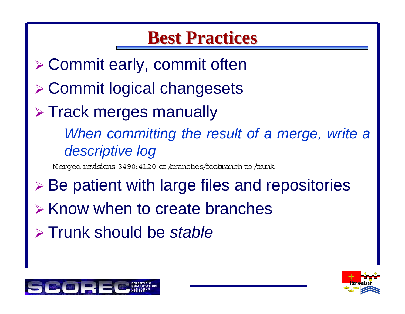#### **Best Practices Best Practices**

- ¾ Commit early, commit often
- ¾ Commit logical changesets
- ¾ Track merges manually
	- *When committing the result of a merge, write a descriptive log*

Merged revisions 3490:4120 of /branches/foobranch to /trunk

- ¾ Be patient with large files and repositories
- ¾ Know when to create branches
- ¾ Trunk should be *stable*



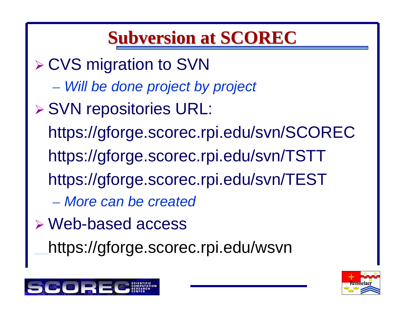#### **Subversion at SCOREC Subversion at SCOREC**

- ¾ CVS migration to SVN
	- *Will be done project by project*
- ¾ SVN repositories URL: https://gforge.scorec.rpi.edu/svn/SCOREC https://gforge.scorec.rpi.edu/svn/TSTT https://gforge.scorec.rpi.edu/svn/TEST – *More can be created*
- ¾ Web-based access
	- https://gforge.scorec.rpi.edu/wsvn